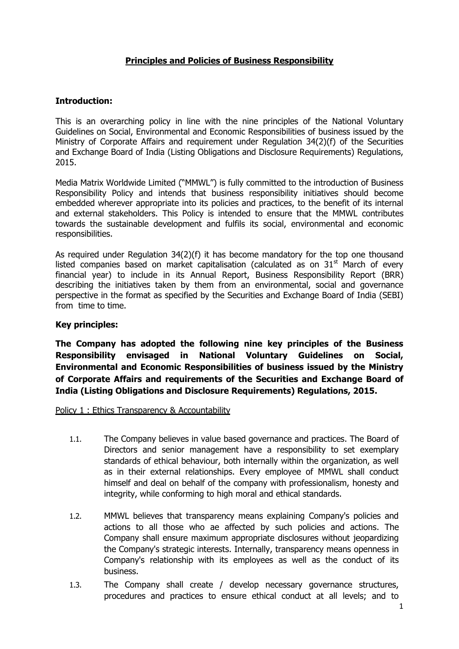# **Principles and Policies of Business Responsibility**

## **Introduction:**

This is an overarching policy in line with the nine principles of the National Voluntary Guidelines on Social, Environmental and Economic Responsibilities of business issued by the Ministry of Corporate Affairs and requirement under Regulation 34(2)(f) of the Securities and Exchange Board of India (Listing Obligations and Disclosure Requirements) Regulations, 2015.

Media Matrix Worldwide Limited ("MMWL") is fully committed to the introduction of Business Responsibility Policy and intends that business responsibility initiatives should become embedded wherever appropriate into its policies and practices, to the benefit of its internal and external stakeholders. This Policy is intended to ensure that the MMWL contributes towards the sustainable development and fulfils its social, environmental and economic responsibilities.

As required under Regulation 34(2)(f) it has become mandatory for the top one thousand listed companies based on market capitalisation (calculated as on  $31<sup>st</sup>$  March of every financial year) to include in its Annual Report, Business Responsibility Report (BRR) describing the initiatives taken by them from an environmental, social and governance perspective in the format as specified by the Securities and Exchange Board of India (SEBI) from time to time.

### **Key principles:**

**The Company has adopted the following nine key principles of the Business Responsibility envisaged in National Voluntary Guidelines on Social, Environmental and Economic Responsibilities of business issued by the Ministry of Corporate Affairs and requirements of the Securities and Exchange Board of India (Listing Obligations and Disclosure Requirements) Regulations, 2015.**

### Policy 1 : Ethics Transparency & Accountability

- 1.1. The Company believes in value based governance and practices. The Board of Directors and senior management have a responsibility to set exemplary standards of ethical behaviour, both internally within the organization, as well as in their external relationships. Every employee of MMWL shall conduct himself and deal on behalf of the company with professionalism, honesty and integrity, while conforming to high moral and ethical standards.
- 1.2. MMWL believes that transparency means explaining Company's policies and actions to all those who ae affected by such policies and actions. The Company shall ensure maximum appropriate disclosures without jeopardizing the Company's strategic interests. Internally, transparency means openness in Company's relationship with its employees as well as the conduct of its business.
- 1.3. The Company shall create / develop necessary governance structures, procedures and practices to ensure ethical conduct at all levels; and to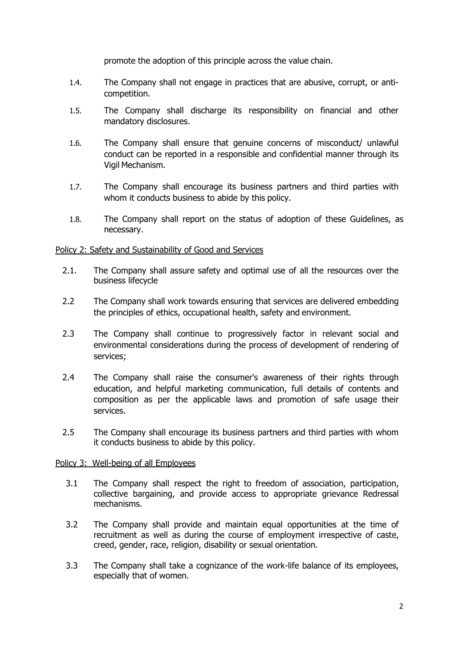promote the adoption of this principle across the value chain.

- 1.4. The Company shall not engage in practices that are abusive, corrupt, or anticompetition.
- 1.5. The Company shall discharge its responsibility on financial and other mandatory disclosures.
- 1.6. The Company shall ensure that genuine concerns of misconduct/ unlawful conduct can be reported in a responsible and confidential manner through its Vigil Mechanism.
- 1.7. The Company shall encourage its business partners and third parties with whom it conducts business to abide by this policy.
- 1.8. The Company shall report on the status of adoption of these Guidelines, as necessary.

### Policy 2: Safety and Sustainability of Good and Services

- 2.1. The Company shall assure safety and optimal use of all the resources over the business lifecycle
- 2.2 The Company shall work towards ensuring that services are delivered embedding the principles of ethics, occupational health, safety and environment.
- 2.3 The Company shall continue to progressively factor in relevant social and environmental considerations during the process of development of rendering of services;
- 2.4 The Company shall raise the consumer's awareness of their rights through education, and helpful marketing communication, full details of contents and composition as per the applicable laws and promotion of safe usage their services.
- 2.5 The Company shall encourage its business partners and third parties with whom it conducts business to abide by this policy.

### Policy 3: Well-being of all Employees

- 3.1 The Company shall respect the right to freedom of association, participation, collective bargaining, and provide access to appropriate grievance Redressal mechanisms.
- 3.2 The Company shall provide and maintain equal opportunities at the time of recruitment as well as during the course of employment irrespective of caste, creed, gender, race, religion, disability or sexual orientation.
- 3.3 The Company shall take a cognizance of the work-life balance of its employees, especially that of women.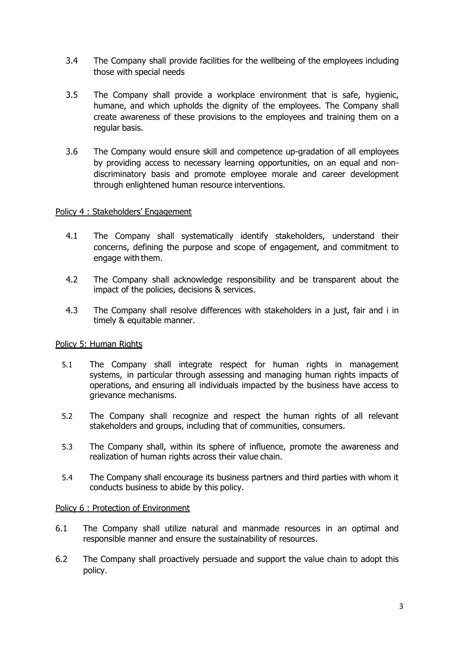- 3.4 The Company shall provide facilities for the wellbeing of the employees including those with special needs
- 3.5 The Company shall provide a workplace environment that is safe, hygienic, humane, and which upholds the dignity of the employees. The Company shall create awareness of these provisions to the employees and training them on a regular basis.
- 3.6 The Company would ensure skill and competence up-gradation of all employees by providing access to necessary learning opportunities, on an equal and nondiscriminatory basis and promote employee morale and career development through enlightened human resource interventions.

### Policy 4 : Stakeholders' Engagement

- 4.1 The Company shall systematically identify stakeholders, understand their concerns, defining the purpose and scope of engagement, and commitment to engage with them.
- 4.2 The Company shall acknowledge responsibility and be transparent about the impact of the policies, decisions & services.
- 4.3 The Company shall resolve differences with stakeholders in a just, fair and i in timely & equitable manner.

### Policy 5: Human Rights

- 5.1 The Company shall integrate respect for human rights in management systems, in particular through assessing and managing human rights impacts of operations, and ensuring all individuals impacted by the business have access to grievance mechanisms.
- 5.2 The Company shall recognize and respect the human rights of all relevant stakeholders and groups, including that of communities, consumers.
- 5.3 The Company shall, within its sphere of influence, promote the awareness and realization of human rights across their value chain.
- 5.4 The Company shall encourage its business partners and third parties with whom it conducts business to abide by this policy.

#### Policy 6 : Protection of Environment

- 6.1 The Company shall utilize natural and manmade resources in an optimal and responsible manner and ensure the sustainability of resources.
- 6.2 The Company shall proactively persuade and support the value chain to adopt this policy.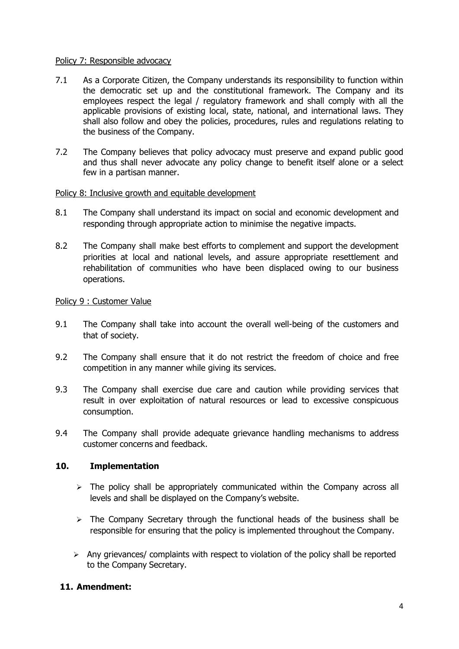### Policy 7: Responsible advocacy

- 7.1 As a Corporate Citizen, the Company understands its responsibility to function within the democratic set up and the constitutional framework. The Company and its employees respect the legal / regulatory framework and shall comply with all the applicable provisions of existing local, state, national, and international laws. They shall also follow and obey the policies, procedures, rules and regulations relating to the business of the Company.
- 7.2 The Company believes that policy advocacy must preserve and expand public good and thus shall never advocate any policy change to benefit itself alone or a select few in a partisan manner.

### Policy 8: Inclusive growth and equitable development

- 8.1 The Company shall understand its impact on social and economic development and responding through appropriate action to minimise the negative impacts.
- 8.2 The Company shall make best efforts to complement and support the development priorities at local and national levels, and assure appropriate resettlement and rehabilitation of communities who have been displaced owing to our business operations.

### Policy 9 : Customer Value

- 9.1 The Company shall take into account the overall well-being of the customers and that of society.
- 9.2 The Company shall ensure that it do not restrict the freedom of choice and free competition in any manner while giving its services.
- 9.3 The Company shall exercise due care and caution while providing services that result in over exploitation of natural resources or lead to excessive conspicuous consumption.
- 9.4 The Company shall provide adequate grievance handling mechanisms to address customer concerns and feedback.

### **10. Implementation**

- $\triangleright$  The policy shall be appropriately communicated within the Company across all levels and shall be displayed on the Company's website.
- $\triangleright$  The Company Secretary through the functional heads of the business shall be responsible for ensuring that the policy is implemented throughout the Company.
- $\triangleright$  Any grievances/ complaints with respect to violation of the policy shall be reported to the Company Secretary.

## **11. Amendment:**